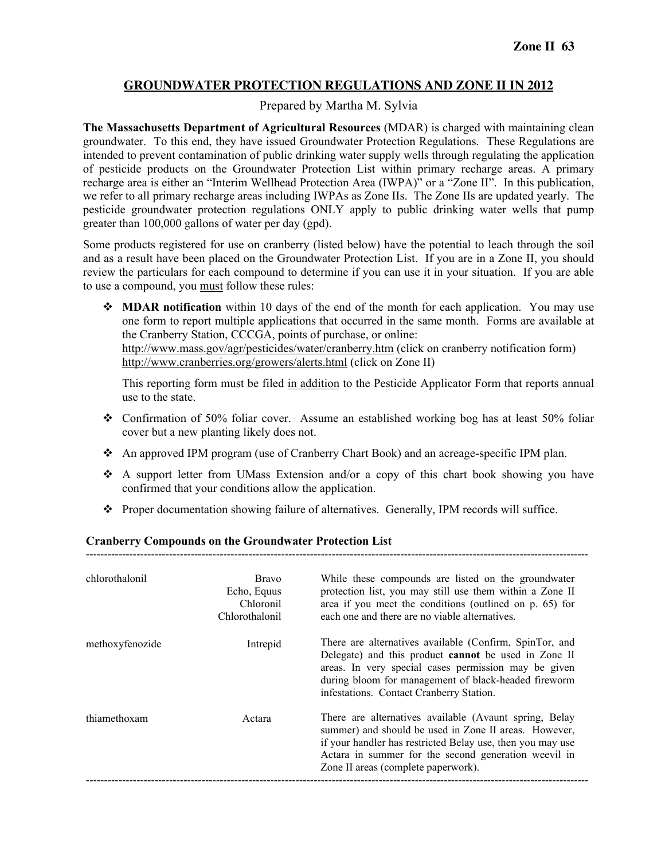# **GROUNDWATER PROTECTION REGULATIONS AND ZONE II IN 2012**

# Prepared by Martha M. Sylvia

**The Massachusetts Department of Agricultural Resources** (MDAR) is charged with maintaining clean groundwater. To this end, they have issued Groundwater Protection Regulations. These Regulations are intended to prevent contamination of public drinking water supply wells through regulating the application of pesticide products on the Groundwater Protection List within primary recharge areas. A primary recharge area is either an "Interim Wellhead Protection Area (IWPA)" or a "Zone II". In this publication, we refer to all primary recharge areas including IWPAs as Zone IIs. The Zone IIs are updated yearly. The pesticide groundwater protection regulations ONLY apply to public drinking water wells that pump greater than 100,000 gallons of water per day (gpd).

Some products registered for use on cranberry (listed below) have the potential to leach through the soil and as a result have been placed on the Groundwater Protection List. If you are in a Zone II, you should review the particulars for each compound to determine if you can use it in your situation. If you are able to use a compound, you must follow these rules:

 $\triangle$  **MDAR notification** within 10 days of the end of the month for each application. You may use one form to report multiple applications that occurred in the same month. Forms are available at the Cranberry Station, CCCGA, points of purchase, or online: http://www.mass.gov/agr/pesticides/water/cranberry.htm (click on cranberry notification form) http://www.cranberries.org/growers/alerts.html (click on Zone II)

This reporting form must be filed in addition to the Pesticide Applicator Form that reports annual use to the state.

- Confirmation of 50% foliar cover. Assume an established working bog has at least 50% foliar cover but a new planting likely does not.
- An approved IPM program (use of Cranberry Chart Book) and an acreage-specific IPM plan.
- A support letter from UMass Extension and/or a copy of this chart book showing you have confirmed that your conditions allow the application.
- \* Proper documentation showing failure of alternatives. Generally, IPM records will suffice.

-------------------------------------------------------------------------------------------------------------------------------------------

# **Cranberry Compounds on the Groundwater Protection List**

| chlorothalonil  | <b>Bravo</b><br>Echo, Equus<br>Chloronil<br>Chlorothalonil | While these compounds are listed on the groundwater<br>protection list, you may still use them within a Zone II<br>area if you meet the conditions (outlined on p. 65) for<br>each one and there are no viable alternatives.                                                 |
|-----------------|------------------------------------------------------------|------------------------------------------------------------------------------------------------------------------------------------------------------------------------------------------------------------------------------------------------------------------------------|
| methoxyfenozide | Intrepid                                                   | There are alternatives available (Confirm, SpinTor, and<br>Delegate) and this product cannot be used in Zone II<br>areas. In very special cases permission may be given<br>during bloom for management of black-headed fireworm<br>infestations. Contact Cranberry Station.  |
| thiamethoxam    | Actara                                                     | There are alternatives available (Avaunt spring, Belay<br>summer) and should be used in Zone II areas. However,<br>if your handler has restricted Belay use, then you may use<br>Actara in summer for the second generation weevil in<br>Zone II areas (complete paperwork). |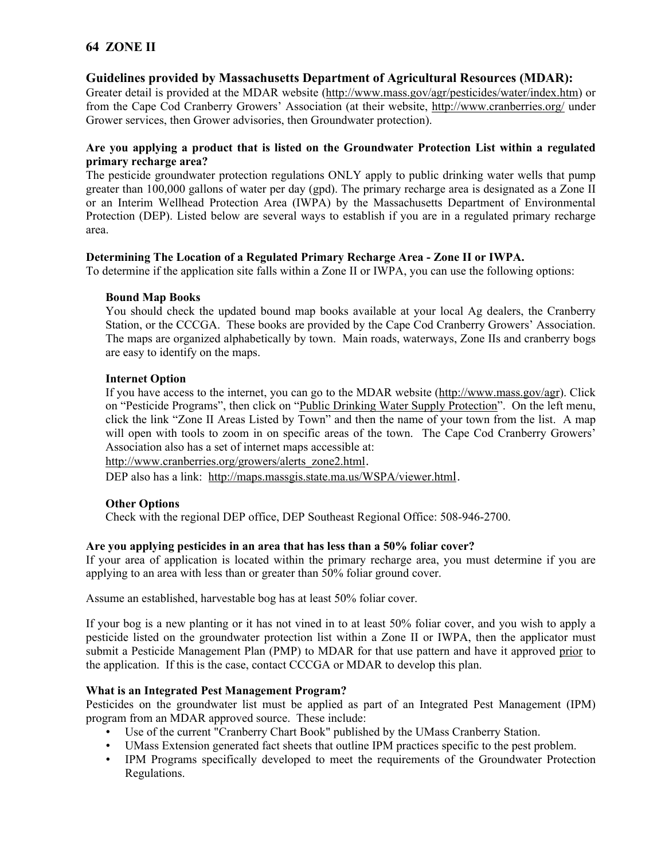# **64 ZONE II**

# **Guidelines provided by Massachusetts Department of Agricultural Resources (MDAR):**

Greater detail is provided at the MDAR website (http://www.mass.gov/agr/pesticides/water/index.htm) or from the Cape Cod Cranberry Growers' Association (at their website, http://www.cranberries.org/ under Grower services, then Grower advisories, then Groundwater protection).

# **Are you applying a product that is listed on the Groundwater Protection List within a regulated primary recharge area?**

The pesticide groundwater protection regulations ONLY apply to public drinking water wells that pump greater than 100,000 gallons of water per day (gpd). The primary recharge area is designated as a Zone II or an Interim Wellhead Protection Area (IWPA) by the Massachusetts Department of Environmental Protection (DEP). Listed below are several ways to establish if you are in a regulated primary recharge area.

# **Determining The Location of a Regulated Primary Recharge Area - Zone II or IWPA.**

To determine if the application site falls within a Zone II or IWPA, you can use the following options:

#### **Bound Map Books**

You should check the updated bound map books available at your local Ag dealers, the Cranberry Station, or the CCCGA. These books are provided by the Cape Cod Cranberry Growers' Association. The maps are organized alphabetically by town. Main roads, waterways, Zone IIs and cranberry bogs are easy to identify on the maps.

#### **Internet Option**

If you have access to the internet, you can go to the MDAR website (http://www.mass.gov/agr). Click on "Pesticide Programs", then click on "Public Drinking Water Supply Protection". On the left menu, click the link "Zone II Areas Listed by Town" and then the name of your town from the list. A map will open with tools to zoom in on specific areas of the town. The Cape Cod Cranberry Growers' Association also has a set of internet maps accessible at:

http://www.cranberries.org/growers/alerts\_zone2.html.

DEP also has a link: http://maps.massgis.state.ma.us/WSPA/viewer.html.

# **Other Options**

Check with the regional DEP office, DEP Southeast Regional Office: 508-946-2700.

# **Are you applying pesticides in an area that has less than a 50% foliar cover?**

If your area of application is located within the primary recharge area, you must determine if you are applying to an area with less than or greater than 50% foliar ground cover.

Assume an established, harvestable bog has at least 50% foliar cover.

If your bog is a new planting or it has not vined in to at least 50% foliar cover, and you wish to apply a pesticide listed on the groundwater protection list within a Zone II or IWPA, then the applicator must submit a Pesticide Management Plan (PMP) to MDAR for that use pattern and have it approved prior to the application. If this is the case, contact CCCGA or MDAR to develop this plan.

# **What is an Integrated Pest Management Program?**

Pesticides on the groundwater list must be applied as part of an Integrated Pest Management (IPM) program from an MDAR approved source. These include:

- Use of the current "Cranberry Chart Book" published by the UMass Cranberry Station.
- UMass Extension generated fact sheets that outline IPM practices specific to the pest problem.
- IPM Programs specifically developed to meet the requirements of the Groundwater Protection Regulations.